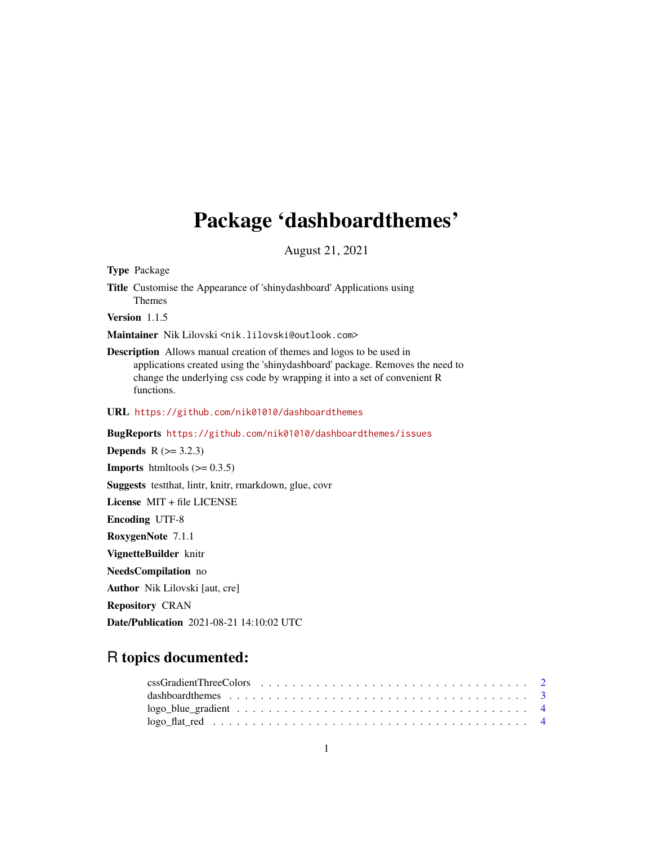## Package 'dashboardthemes'

August 21, 2021

Type Package

Title Customise the Appearance of 'shinydashboard' Applications using Themes

Version 1.1.5

Maintainer Nik Lilovski <nik.lilovski@outlook.com>

Description Allows manual creation of themes and logos to be used in applications created using the 'shinydashboard' package. Removes the need to change the underlying css code by wrapping it into a set of convenient R functions.

URL <https://github.com/nik01010/dashboardthemes>

BugReports <https://github.com/nik01010/dashboardthemes/issues>

**Depends**  $R$  ( $>= 3.2.3$ ) **Imports** htmltools  $(>= 0.3.5)$ Suggests testthat, lintr, knitr, rmarkdown, glue, covr License MIT + file LICENSE Encoding UTF-8 RoxygenNote 7.1.1 VignetteBuilder knitr NeedsCompilation no Author Nik Lilovski [aut, cre] Repository CRAN

Date/Publication 2021-08-21 14:10:02 UTC

### R topics documented: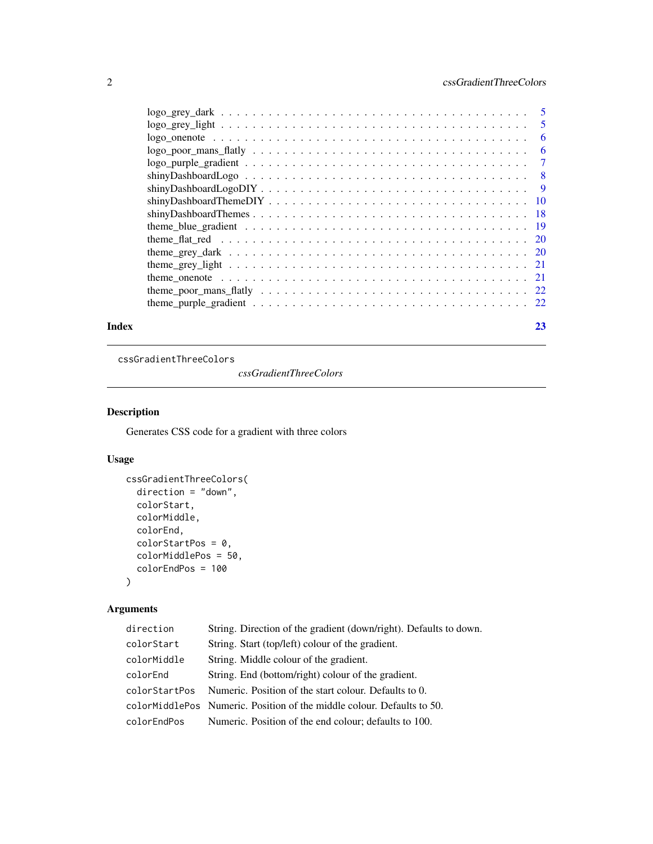<span id="page-1-0"></span>

|       | $logo\_grey\_dark \dots \dots \dots \dots \dots \dots \dots \dots \dots \dots \dots \dots \dots \dots \dots \dots \dots \dots$ |    |
|-------|--------------------------------------------------------------------------------------------------------------------------------|----|
|       |                                                                                                                                |    |
|       |                                                                                                                                |    |
|       |                                                                                                                                |    |
|       |                                                                                                                                |    |
|       |                                                                                                                                |    |
|       |                                                                                                                                |    |
|       |                                                                                                                                |    |
|       |                                                                                                                                |    |
|       |                                                                                                                                |    |
|       |                                                                                                                                |    |
|       |                                                                                                                                |    |
|       |                                                                                                                                |    |
|       |                                                                                                                                |    |
|       |                                                                                                                                |    |
|       |                                                                                                                                |    |
| Index |                                                                                                                                | 23 |

<span id="page-1-1"></span>cssGradientThreeColors

*cssGradientThreeColors*

#### Description

Generates CSS code for a gradient with three colors

#### Usage

```
cssGradientThreeColors(
  direction = "down",
  colorStart,
  colorMiddle,
  colorEnd,
  colorStartPos = 0,colorMiddlePos = 50,
  colorEndPos = 100
\mathcal{L}
```
#### Arguments

| direction     | String. Direction of the gradient (down/right). Defaults to down.      |
|---------------|------------------------------------------------------------------------|
| colorStart    | String. Start (top/left) colour of the gradient.                       |
| colorMiddle   | String. Middle colour of the gradient.                                 |
| colorEnd      | String. End (bottom/right) colour of the gradient.                     |
| colorStartPos | Numeric. Position of the start colour. Defaults to 0.                  |
|               | colorMiddlePos Numeric. Position of the middle colour. Defaults to 50. |
| colorEndPos   | Numeric. Position of the end colour; defaults to 100.                  |
|               |                                                                        |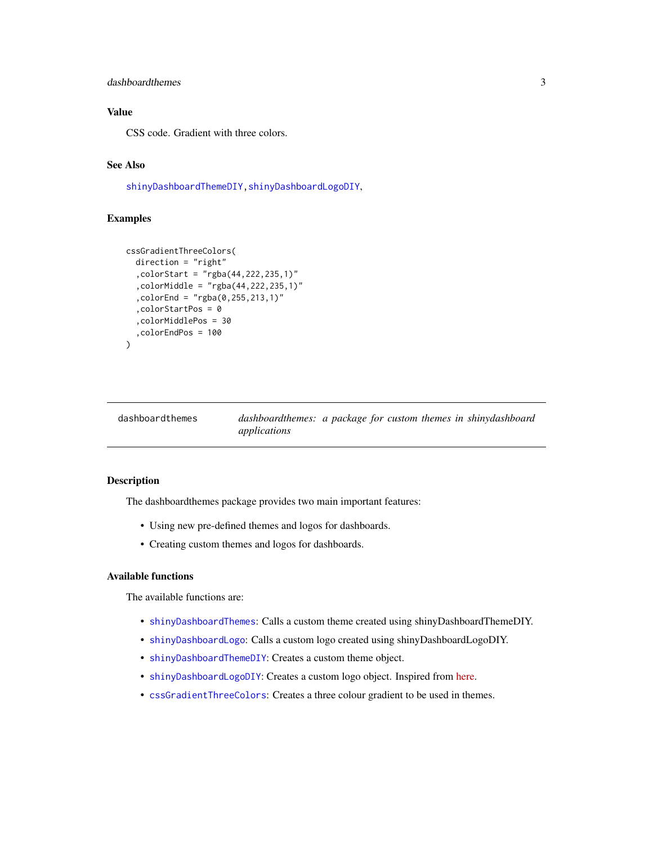#### <span id="page-2-0"></span>dashboardthemes 3

#### Value

CSS code. Gradient with three colors.

#### See Also

[shinyDashboardThemeDIY,](#page-9-1)[shinyDashboardLogoDIY](#page-8-1),

#### Examples

```
cssGradientThreeColors(
  direction = "right"
  ,colorStart = "rgba(44,222,235,1)"
  , colorMiddle = "rgba(44,222,235,1)"
  ,colorEnd = "rgba(0,255,213,1)"
  ,colorStartPos = 0
  ,colorMiddlePos = 30
  ,colorEndPos = 100
)
```
dashboardthemes *dashboardthemes: a package for custom themes in shinydashboard applications*

#### Description

The dashboardthemes package provides two main important features:

- Using new pre-defined themes and logos for dashboards.
- Creating custom themes and logos for dashboards.

#### Available functions

The available functions are:

- [shinyDashboardThemes](#page-17-1): Calls a custom theme created using shinyDashboardThemeDIY.
- [shinyDashboardLogo](#page-7-1): Calls a custom logo created using shinyDashboardLogoDIY.
- [shinyDashboardThemeDIY](#page-9-1): Creates a custom theme object.
- [shinyDashboardLogoDIY](#page-8-1): Creates a custom logo object. Inspired from [here.](http://www.dataseries.org/)
- [cssGradientThreeColors](#page-1-1): Creates a three colour gradient to be used in themes.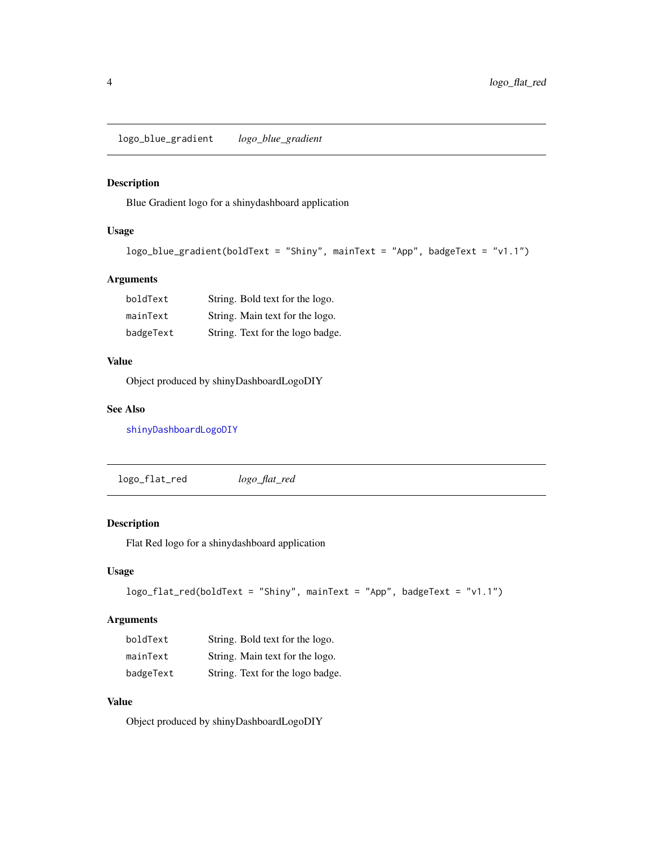<span id="page-3-0"></span>logo\_blue\_gradient *logo\_blue\_gradient*

#### Description

Blue Gradient logo for a shinydashboard application

#### Usage

```
logo_blue_gradient(boldText = "Shiny", mainText = "App", badgeText = "v1.1")
```
#### Arguments

| boldText  | String. Bold text for the logo.  |
|-----------|----------------------------------|
| mainText  | String. Main text for the logo.  |
| badgeText | String. Text for the logo badge. |

#### Value

Object produced by shinyDashboardLogoDIY

#### See Also

[shinyDashboardLogoDIY](#page-8-1)

logo\_flat\_red *logo\_flat\_red*

#### Description

Flat Red logo for a shinydashboard application

#### Usage

```
logo_flat_red(boldText = "Shiny", mainText = "App", badgeText = "v1.1")
```
#### Arguments

| boldText  | String. Bold text for the logo.  |
|-----------|----------------------------------|
| mainText  | String. Main text for the logo.  |
| badgeText | String. Text for the logo badge. |

#### Value

Object produced by shinyDashboardLogoDIY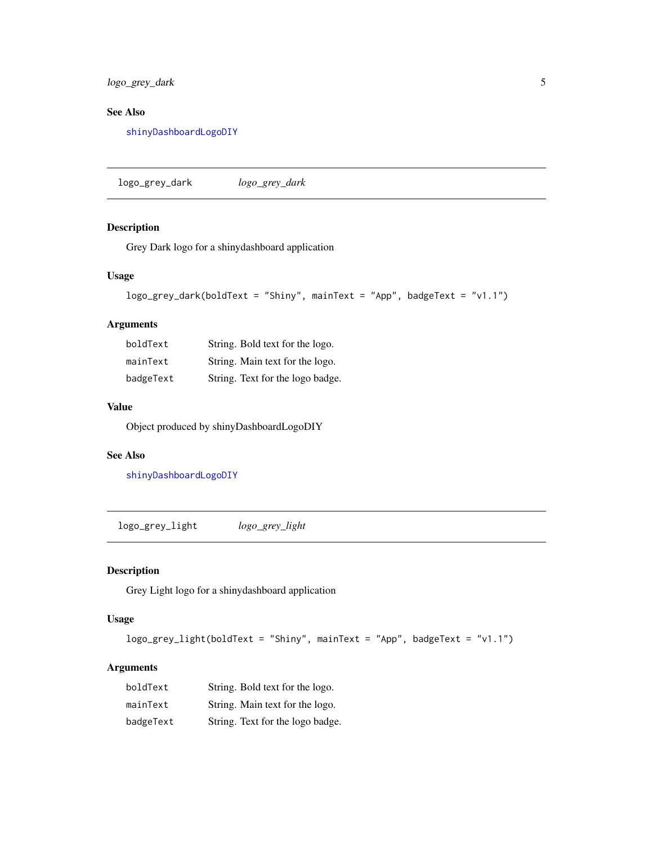<span id="page-4-0"></span>logo\_grey\_dark 5

#### See Also

[shinyDashboardLogoDIY](#page-8-1)

logo\_grey\_dark *logo\_grey\_dark*

#### Description

Grey Dark logo for a shinydashboard application

#### Usage

```
logo_grey_dark(boldText = "Shiny", mainText = "App", badgeText = "v1.1")
```
#### Arguments

| boldText  | String. Bold text for the logo.  |
|-----------|----------------------------------|
| mainText  | String. Main text for the logo.  |
| badgeText | String. Text for the logo badge. |

#### Value

Object produced by shinyDashboardLogoDIY

#### See Also

[shinyDashboardLogoDIY](#page-8-1)

logo\_grey\_light *logo\_grey\_light*

#### Description

Grey Light logo for a shinydashboard application

#### Usage

```
logo_grey_light(boldText = "Shiny", mainText = "App", badgeText = "v1.1")
```
#### Arguments

| boldText  | String. Bold text for the logo.  |
|-----------|----------------------------------|
| mainText  | String. Main text for the logo.  |
| badgeText | String. Text for the logo badge. |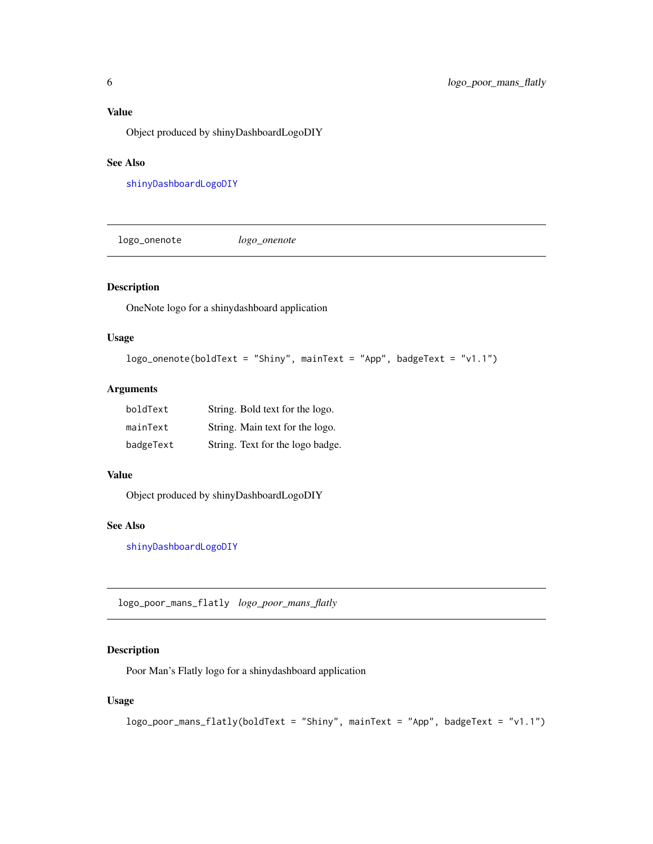#### <span id="page-5-0"></span>Value

Object produced by shinyDashboardLogoDIY

#### See Also

[shinyDashboardLogoDIY](#page-8-1)

logo\_onenote *logo\_onenote*

#### Description

OneNote logo for a shinydashboard application

#### Usage

```
logo\_onenote(boldText = "Shiny", mainText = "App", badgeText = "v1.1")
```
#### Arguments

| boldText  | String. Bold text for the logo.  |
|-----------|----------------------------------|
| mainText  | String. Main text for the logo.  |
| badgeText | String. Text for the logo badge. |

#### Value

Object produced by shinyDashboardLogoDIY

#### See Also

[shinyDashboardLogoDIY](#page-8-1)

logo\_poor\_mans\_flatly *logo\_poor\_mans\_flatly*

#### Description

Poor Man's Flatly logo for a shinydashboard application

#### Usage

```
logo_poor_mans_flatly(boldText = "Shiny", mainText = "App", badgeText = "v1.1")
```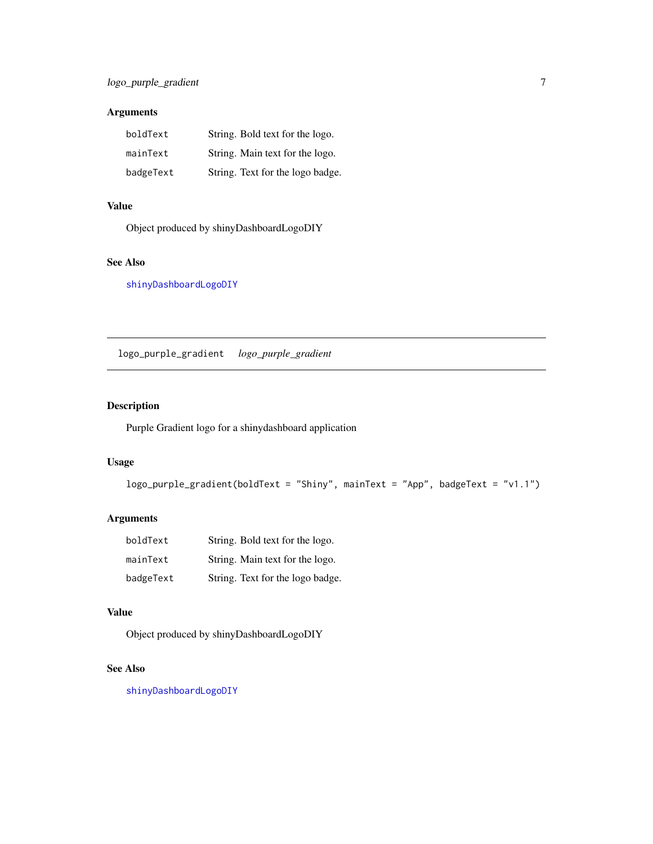#### <span id="page-6-0"></span>Arguments

| boldText  | String. Bold text for the logo.  |
|-----------|----------------------------------|
| mainText  | String. Main text for the logo.  |
| badgeText | String. Text for the logo badge. |

#### Value

Object produced by shinyDashboardLogoDIY

#### See Also

[shinyDashboardLogoDIY](#page-8-1)

logo\_purple\_gradient *logo\_purple\_gradient*

#### Description

Purple Gradient logo for a shinydashboard application

#### Usage

```
logo_purple_gradient(boldText = "Shiny", mainText = "App", badgeText = "v1.1")
```
#### Arguments

| boldText  | String. Bold text for the logo.  |
|-----------|----------------------------------|
| mainText  | String. Main text for the logo.  |
| badgeText | String. Text for the logo badge. |

#### Value

Object produced by shinyDashboardLogoDIY

#### See Also

[shinyDashboardLogoDIY](#page-8-1)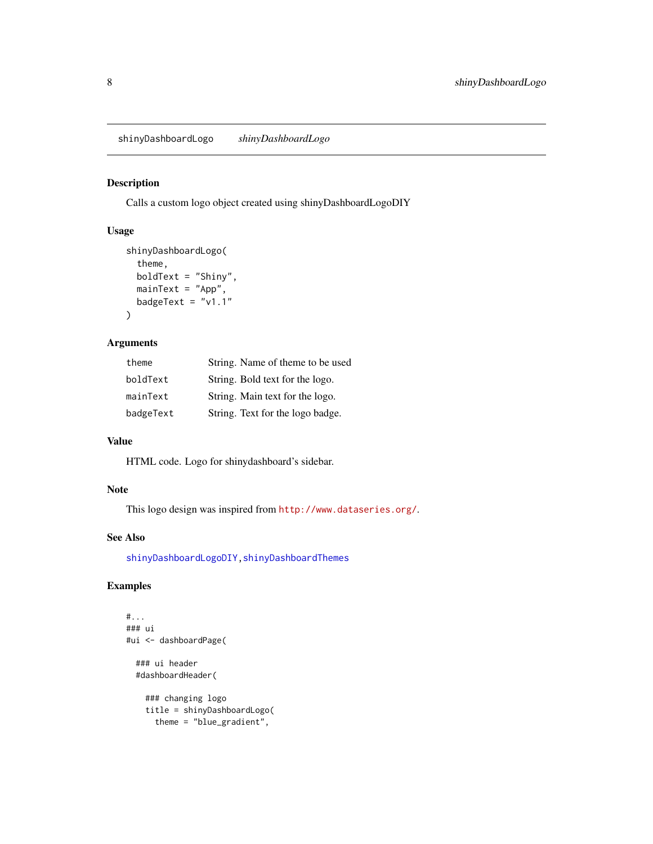<span id="page-7-1"></span><span id="page-7-0"></span>shinyDashboardLogo *shinyDashboardLogo*

#### Description

Calls a custom logo object created using shinyDashboardLogoDIY

#### Usage

```
shinyDashboardLogo(
  theme,
 boldText = "Shiny",
 mainText = "App",badgeText = "v1.1")
```
#### Arguments

| theme     | String. Name of theme to be used |
|-----------|----------------------------------|
| boldText  | String. Bold text for the logo.  |
| mainText  | String. Main text for the logo.  |
| badgeText | String. Text for the logo badge. |

#### Value

HTML code. Logo for shinydashboard's sidebar.

#### Note

This logo design was inspired from <http://www.dataseries.org/>.

#### See Also

[shinyDashboardLogoDIY,](#page-8-1)[shinyDashboardThemes](#page-17-1)

#### Examples

```
#...
### ui
#ui <- dashboardPage(
 ### ui header
 #dashboardHeader(
    ### changing logo
```

```
title = shinyDashboardLogo(
  theme = "blue_gradient",
```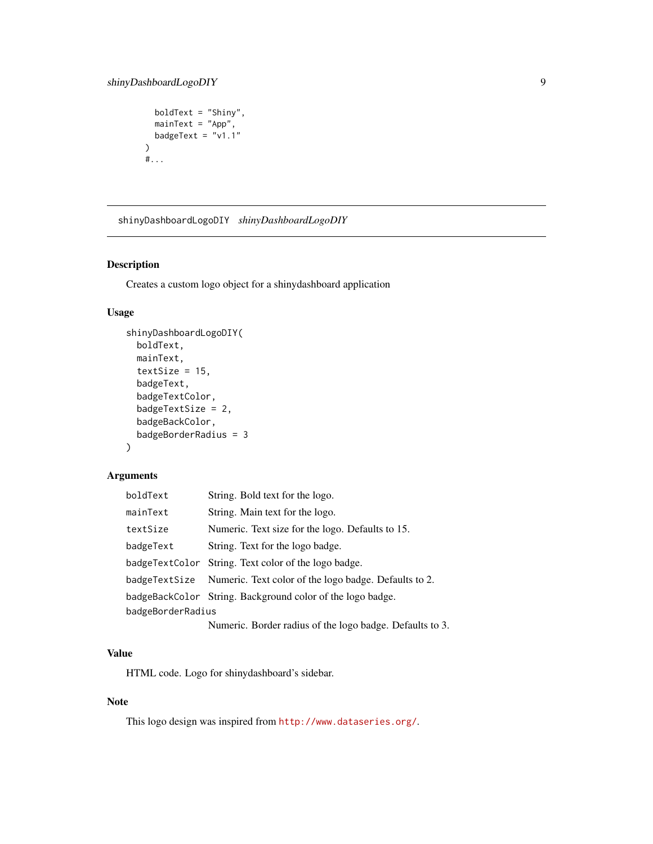#### <span id="page-8-0"></span>shinyDashboardLogoDIY 9

```
boldText = "Shiny",
  mainText = "App",
  badgeText = "v1.1"\lambda#...
```
<span id="page-8-1"></span>shinyDashboardLogoDIY *shinyDashboardLogoDIY*

#### Description

Creates a custom logo object for a shinydashboard application

#### Usage

```
shinyDashboardLogoDIY(
 boldText,
 mainText,
  textSize = 15,
 badgeText,
 badgeTextColor,
 badgeTextSize = 2,
 badgeBackColor,
 badgeBorderRadius = 3
)
```
#### Arguments

| boldText          | String. Bold text for the logo.                                     |
|-------------------|---------------------------------------------------------------------|
| mainText          | String. Main text for the logo.                                     |
| textSize          | Numeric. Text size for the logo. Defaults to 15.                    |
| badgeText         | String. Text for the logo badge.                                    |
|                   | badgeTextColor String. Text color of the logo badge.                |
|                   | badgeTextSize Numeric. Text color of the logo badge. Defaults to 2. |
|                   | badgeBackColor String. Background color of the logo badge.          |
| badgeBorderRadius |                                                                     |
|                   | Numeric. Border radius of the logo badge. Defaults to 3.            |

#### Value

HTML code. Logo for shinydashboard's sidebar.

#### Note

This logo design was inspired from <http://www.dataseries.org/>.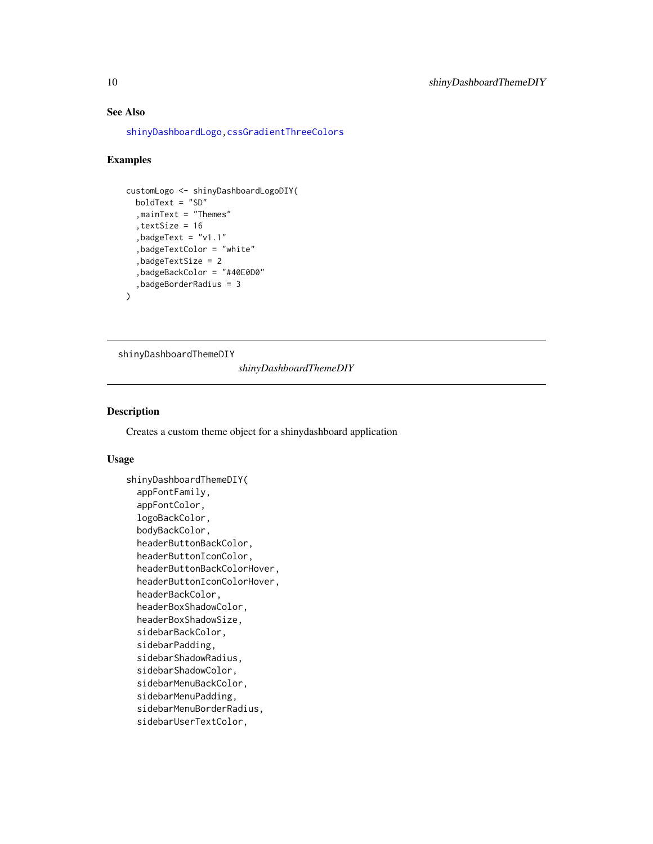#### <span id="page-9-0"></span>See Also

[shinyDashboardLogo](#page-7-1)[,cssGradientThreeColors](#page-1-1)

#### Examples

```
customLogo <- shinyDashboardLogoDIY(
  boldText = "SD"
  ,mainText = "Themes"
  ,textSize = 16
  ,badgeText = "v1.1"
  ,badgeTextColor = "white"
  ,badgeTextSize = 2
  ,badgeBackColor = "#40E0D0"
  ,badgeBorderRadius = 3
\overline{\phantom{a}}
```
<span id="page-9-1"></span>shinyDashboardThemeDIY

*shinyDashboardThemeDIY*

#### Description

Creates a custom theme object for a shinydashboard application

#### Usage

```
shinyDashboardThemeDIY(
  appFontFamily,
  appFontColor,
  logoBackColor,
  bodyBackColor,
  headerButtonBackColor,
  headerButtonIconColor,
  headerButtonBackColorHover,
  headerButtonIconColorHover,
  headerBackColor,
  headerBoxShadowColor,
  headerBoxShadowSize,
  sidebarBackColor,
  sidebarPadding,
  sidebarShadowRadius,
  sidebarShadowColor,
  sidebarMenuBackColor,
  sidebarMenuPadding,
  sidebarMenuBorderRadius,
  sidebarUserTextColor,
```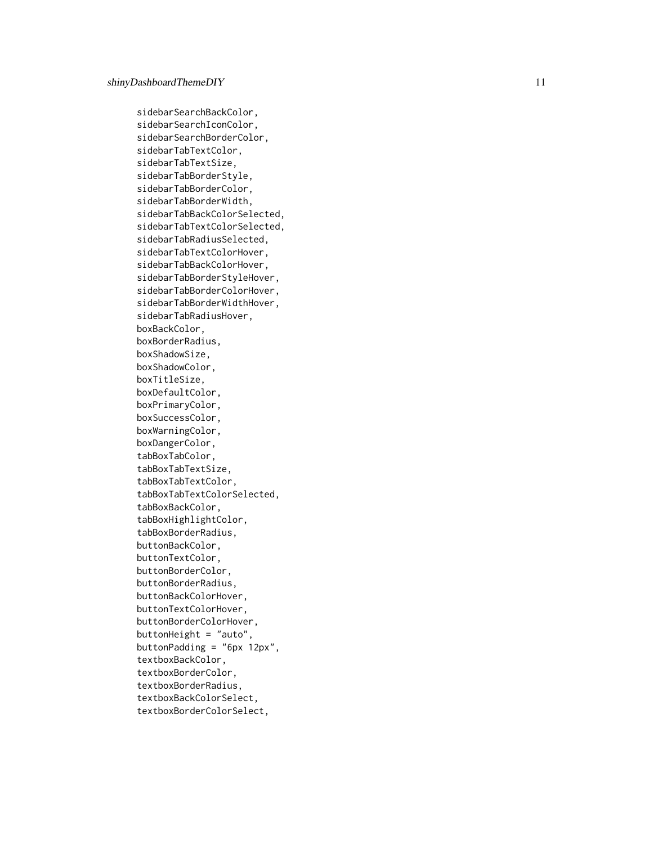sidebarSearchBackColor, sidebarSearchIconColor, sidebarSearchBorderColor, sidebarTabTextColor, sidebarTabTextSize, sidebarTabBorderStyle, sidebarTabBorderColor, sidebarTabBorderWidth, sidebarTabBackColorSelected, sidebarTabTextColorSelected, sidebarTabRadiusSelected, sidebarTabTextColorHover, sidebarTabBackColorHover, sidebarTabBorderStyleHover, sidebarTabBorderColorHover, sidebarTabBorderWidthHover, sidebarTabRadiusHover, boxBackColor, boxBorderRadius, boxShadowSize, boxShadowColor, boxTitleSize, boxDefaultColor, boxPrimaryColor, boxSuccessColor, boxWarningColor, boxDangerColor, tabBoxTabColor, tabBoxTabTextSize, tabBoxTabTextColor, tabBoxTabTextColorSelected, tabBoxBackColor, tabBoxHighlightColor, tabBoxBorderRadius, buttonBackColor, buttonTextColor, buttonBorderColor, buttonBorderRadius, buttonBackColorHover, buttonTextColorHover, buttonBorderColorHover, buttonHeight =  $"auto",$ buttonPadding = "6px 12px", textboxBackColor, textboxBorderColor, textboxBorderRadius, textboxBackColorSelect, textboxBorderColorSelect,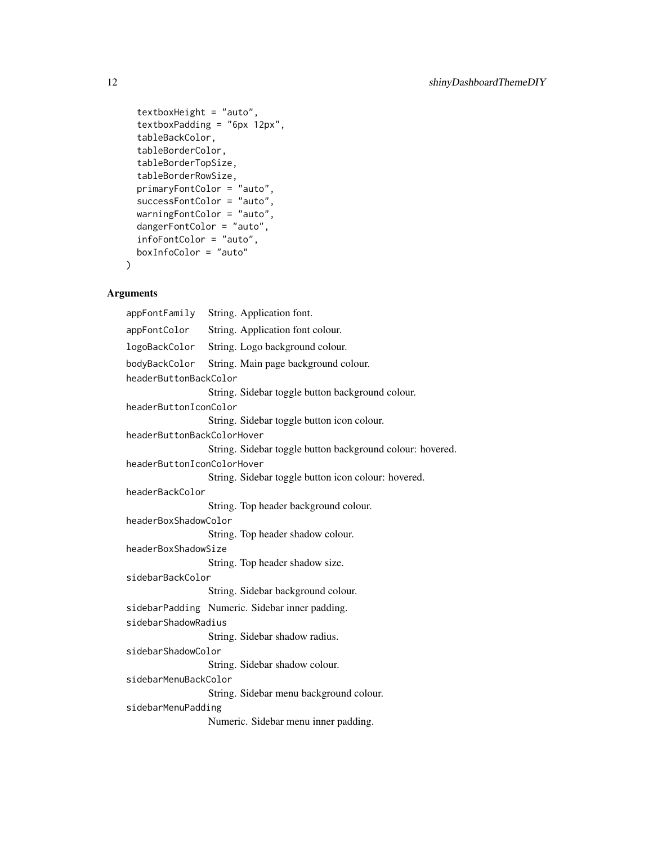```
textboxHeight = "auto",
textboxPadding = "6px 12px",
tableBackColor,
tableBorderColor,
tableBorderTopSize,
tableBorderRowSize,
primaryFontColor = "auto",
successFontColor = "auto",
warningFontColor = "auto",
dangerFontColor = "auto",
infoFontColor = "auto",
boxInfoColor = "auto"
```
#### Arguments

)

appFontFamily String. Application font. appFontColor String. Application font colour. logoBackColor String. Logo background colour. bodyBackColor String. Main page background colour. headerButtonBackColor String. Sidebar toggle button background colour. headerButtonIconColor String. Sidebar toggle button icon colour. headerButtonBackColorHover String. Sidebar toggle button background colour: hovered. headerButtonIconColorHover String. Sidebar toggle button icon colour: hovered. headerBackColor String. Top header background colour. headerBoxShadowColor String. Top header shadow colour. headerBoxShadowSize String. Top header shadow size. sidebarBackColor String. Sidebar background colour. sidebarPadding Numeric. Sidebar inner padding. sidebarShadowRadius String. Sidebar shadow radius. sidebarShadowColor String. Sidebar shadow colour. sidebarMenuBackColor String. Sidebar menu background colour. sidebarMenuPadding Numeric. Sidebar menu inner padding.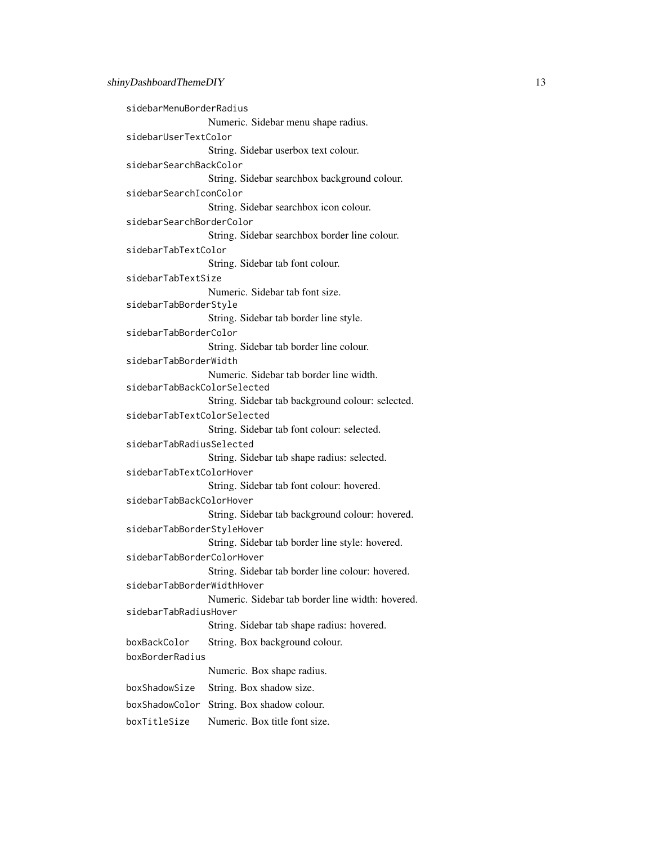```
sidebarMenuBorderRadius
                 Numeric. Sidebar menu shape radius.
sidebarUserTextColor
                 String. Sidebar userbox text colour.
sidebarSearchBackColor
                 String. Sidebar searchbox background colour.
sidebarSearchIconColor
                 String. Sidebar searchbox icon colour.
sidebarSearchBorderColor
                 String. Sidebar searchbox border line colour.
sidebarTabTextColor
                 String. Sidebar tab font colour.
sidebarTabTextSize
                 Numeric. Sidebar tab font size.
sidebarTabBorderStyle
                 String. Sidebar tab border line style.
sidebarTabBorderColor
                 String. Sidebar tab border line colour.
sidebarTabBorderWidth
                 Numeric. Sidebar tab border line width.
sidebarTabBackColorSelected
                 String. Sidebar tab background colour: selected.
sidebarTabTextColorSelected
                 String. Sidebar tab font colour: selected.
sidebarTabRadiusSelected
                 String. Sidebar tab shape radius: selected.
sidebarTabTextColorHover
                 String. Sidebar tab font colour: hovered.
sidebarTabBackColorHover
                 String. Sidebar tab background colour: hovered.
sidebarTabBorderStyleHover
                 String. Sidebar tab border line style: hovered.
sidebarTabBorderColorHover
                 String. Sidebar tab border line colour: hovered.
sidebarTabBorderWidthHover
                 Numeric. Sidebar tab border line width: hovered.
sidebarTabRadiusHover
                 String. Sidebar tab shape radius: hovered.
boxBackColor String. Box background colour.
boxBorderRadius
                 Numeric. Box shape radius.
boxShadowSize String. Box shadow size.
boxShadowColor String. Box shadow colour.
boxTitleSize Numeric. Box title font size.
```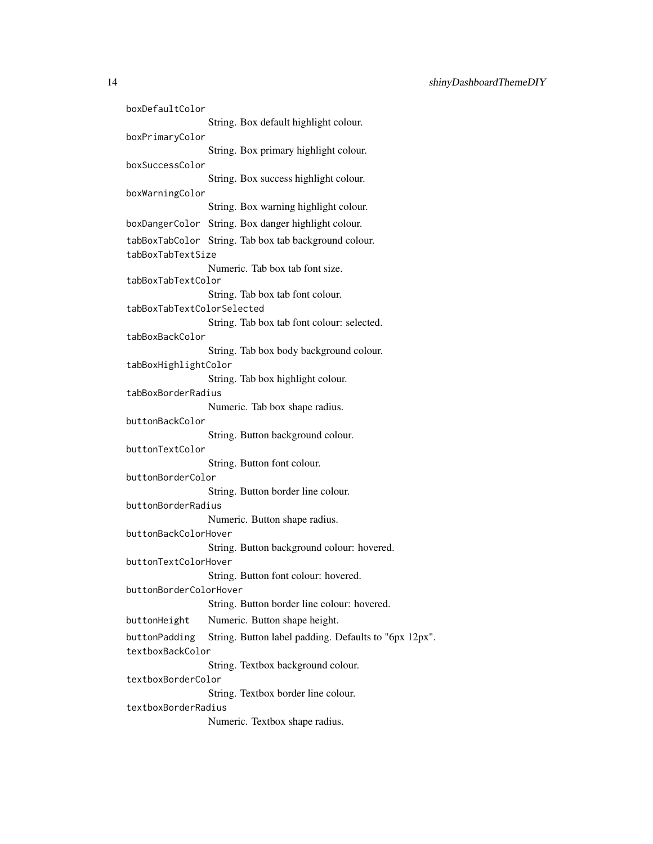```
boxDefaultColor
                 String. Box default highlight colour.
boxPrimaryColor
                 String. Box primary highlight colour.
boxSuccessColor
                 String. Box success highlight colour.
boxWarningColor
                 String. Box warning highlight colour.
boxDangerColor String. Box danger highlight colour.
tabBoxTabColor String. Tab box tab background colour.
tabBoxTabTextSize
                 Numeric. Tab box tab font size.
tabBoxTabTextColor
                 String. Tab box tab font colour.
tabBoxTabTextColorSelected
                 String. Tab box tab font colour: selected.
tabBoxBackColor
                 String. Tab box body background colour.
tabBoxHighlightColor
                 String. Tab box highlight colour.
tabBoxBorderRadius
                 Numeric. Tab box shape radius.
buttonBackColor
                 String. Button background colour.
buttonTextColor
                 String. Button font colour.
buttonBorderColor
                 String. Button border line colour.
buttonBorderRadius
                 Numeric. Button shape radius.
buttonBackColorHover
                 String. Button background colour: hovered.
buttonTextColorHover
                 String. Button font colour: hovered.
buttonBorderColorHover
                 String. Button border line colour: hovered.
buttonHeight Numeric. Button shape height.
buttonPadding String. Button label padding. Defaults to "6px 12px".
textboxBackColor
                 String. Textbox background colour.
textboxBorderColor
                 String. Textbox border line colour.
textboxBorderRadius
                 Numeric. Textbox shape radius.
```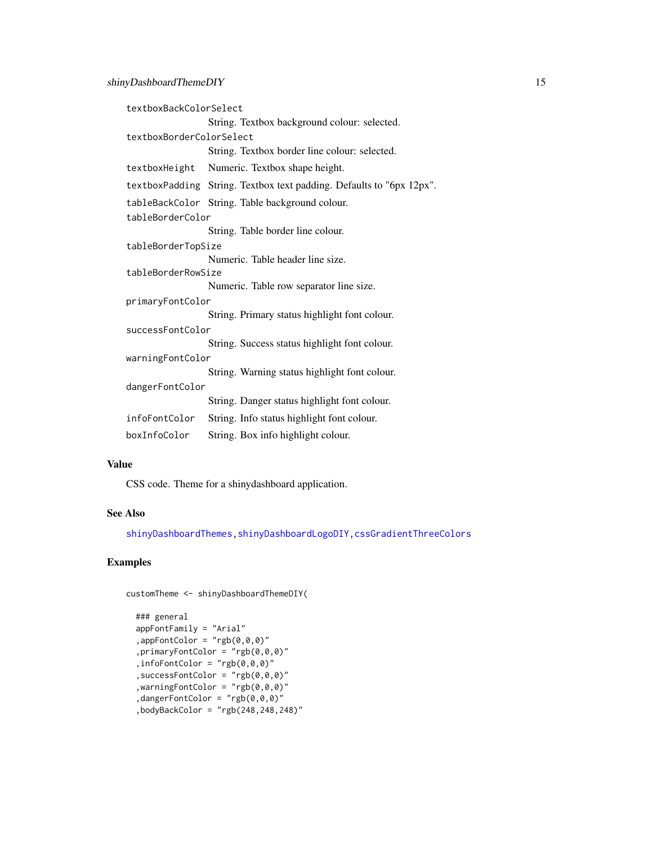```
textboxBackColorSelect
                 String. Textbox background colour: selected.
textboxBorderColorSelect
                  String. Textbox border line colour: selected.
textboxHeight Numeric. Textbox shape height.
textboxPadding String. Textbox text padding. Defaults to "6px 12px".
tableBackColor String. Table background colour.
tableBorderColor
                  String. Table border line colour.
tableBorderTopSize
                 Numeric. Table header line size.
tableBorderRowSize
                  Numeric. Table row separator line size.
primaryFontColor
                  String. Primary status highlight font colour.
successFontColor
                  String. Success status highlight font colour.
warningFontColor
                 String. Warning status highlight font colour.
dangerFontColor
                  String. Danger status highlight font colour.
infoFontColor String. Info status highlight font colour.
boxInfoColor String. Box info highlight colour.
```
#### Value

CSS code. Theme for a shinydashboard application.

#### See Also

[shinyDashboardThemes,](#page-17-1)[shinyDashboardLogoDIY,](#page-8-1)[cssGradientThreeColors](#page-1-1)

#### Examples

```
customTheme <- shinyDashboardThemeDIY(
```

```
### general
appFontFamily = "Arial"
,appFontColor = "rgb(0,0,0)"
,primaryFontColor = "rgb(0,0,0)"
, infoFontColor = "rgb(0,0,0)"
,successFontColor = "rgb(0,0,0)"
, warningFontColor = "rgb(0, 0, 0)",dangerFontColor = "rgb(0,0,0)"
, bodyBackColor = "rgb(248, 248, 248)"
```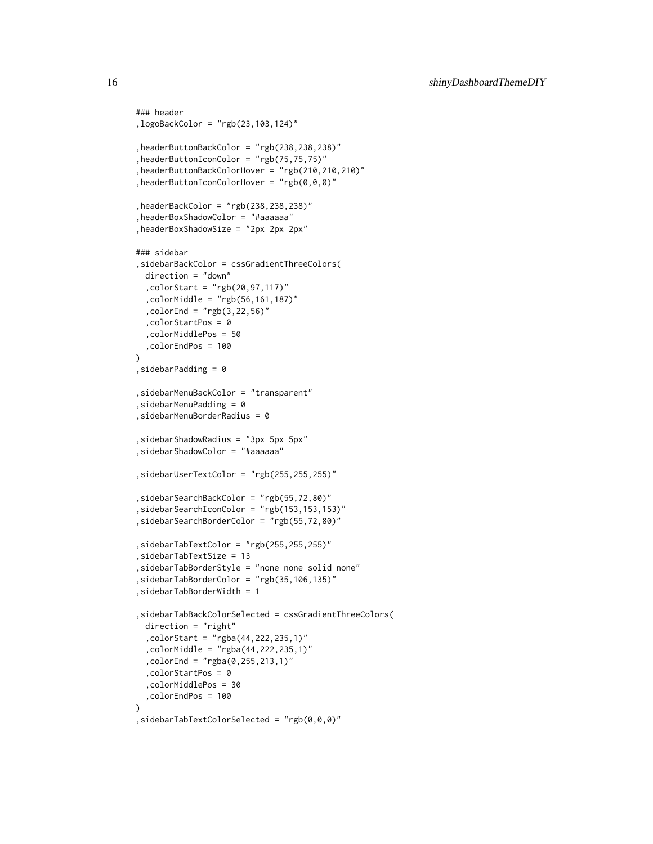```
### header
,logoBackColor = "rgb(23,103,124)"
,headerButtonBackColor = "rgb(238,238,238)"
,headerButtonIconColor = "rgb(75,75,75)"
,headerButtonBackColorHover = "rgb(210,210,210)"
,headerButtonIconColorHover = "rgb(0,0,0)"
,headerBackColor = "rgb(238,238,238)"
,headerBoxShadowColor = "#aaaaaa"
,headerBoxShadowSize = "2px 2px 2px"
### sidebar
,sidebarBackColor = cssGradientThreeColors(
  direction = "down"
  ,colorStart = "rgb(20,97,117)"
  ,colorMiddle = "rgb(56,161,187)"
  ,colorEnd = "rgb(3,22,56)"
  ,colorStartPos = 0
  ,colorMiddlePos = 50
  ,colorEndPos = 100
\lambda,sidebarPadding = 0
,sidebarMenuBackColor = "transparent"
, sidebarMenuPadding = 0
,sidebarMenuBorderRadius = 0
,sidebarShadowRadius = "3px 5px 5px"
,sidebarShadowColor = "#aaaaaa"
,sidebarUserTextColor = "rgb(255,255,255)"
,sidebarSearchBackColor = "rgb(55,72,80)"
,sidebarSearchIconColor = "rgb(153,153,153)"
,sidebarSearchBorderColor = "rgb(55,72,80)"
,sidebarTabTextColor = "rgb(255,255,255)"
,sidebarTabTextSize = 13
,sidebarTabBorderStyle = "none none solid none"
,sidebarTabBorderColor = "rgb(35,106,135)"
,sidebarTabBorderWidth = 1
,sidebarTabBackColorSelected = cssGradientThreeColors(
  direction = "right"
  ,colorStart = "rgba(44,222,235,1)"
  ,colorMiddle = "rgba(44,222,235,1)"
  ,colorEnd = "rgba(0,255,213,1)"
  ,colorStartPos = 0
  ,colorMiddlePos = 30
  ,colorEndPos = 100
)
,sidebarTabTextColorSelected = "rgb(0,0,0)"
```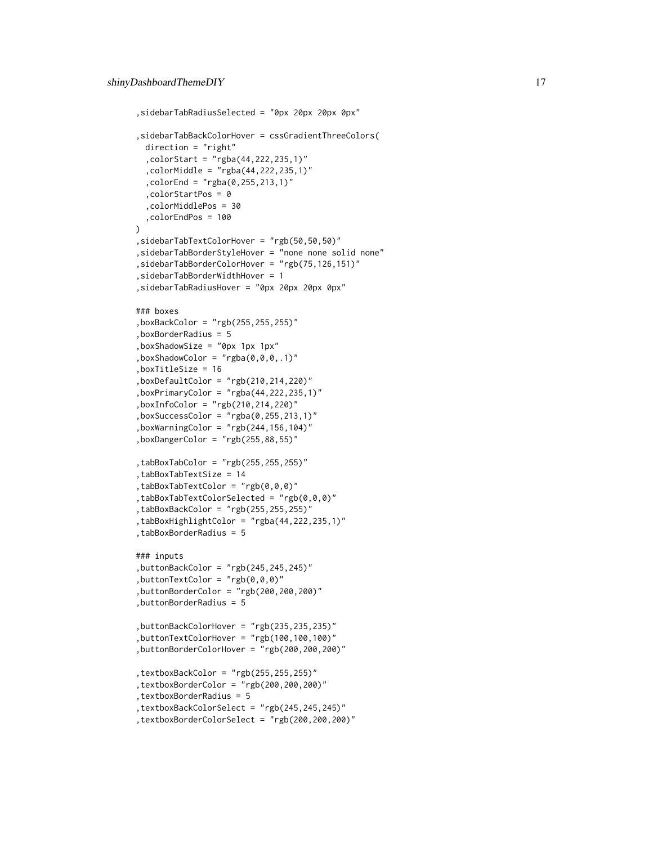```
,sidebarTabRadiusSelected = "0px 20px 20px 0px"
,sidebarTabBackColorHover = cssGradientThreeColors(
  direction = "right"
  ,colorStart = "rgba(44,222,235,1)"
  ,colorMiddle = "rgba(44,222,235,1)"
  ,colorEnd = "rgba(0,255,213,1)"
  ,colorStartPos = 0
  ,colorMiddlePos = 30
  ,colorEndPos = 100
\lambda,sidebarTabTextColorHover = "rgb(50,50,50)"
,sidebarTabBorderStyleHover = "none none solid none"
,sidebarTabBorderColorHover = "rgb(75,126,151)"
,sidebarTabBorderWidthHover = 1
,sidebarTabRadiusHover = "0px 20px 20px 0px"
### boxes
,boxBackColor = "rgb(255,255,255)"
,boxBorderRadius = 5
,boxShadowSize = "0px 1px 1px"
,boxShadowColor = "rgba(0,0,0,.1)",boxTitleSize = 16
,boxDefaultColor = "rgb(210,214,220)"
,boxPrimaryColor = "rgba(44,222,235,1)"
,boxInfoColor = "rgb(210,214,220)"
, boxSuccessColor = "rgba(0, 255, 213, 1)",boxWarningColor = "rgb(244,156,104)"
,boxDangerColor = "rgb(255,88,55)"
,tabBoxTabColor = "rgb(255,255,255)"
,tabBoxTabTextSize = 14
,tabBoxTabTextColor = "rgb(0,0,0)"
,tabBoxTabTextColorSelected = "rgb(0,0,0)"
,tabBoxBackColor = "rgb(255,255,255)"
,tabBoxHighlightColor = "rgba(44,222,235,1)"
,tabBoxBorderRadius = 5
### inputs
, but tonBackColor = "rgb(245, 245, 245)",buttonTextColor = "rgb(0,0,0)"
,buttonBorderColor = "rgb(200,200,200)"
,buttonBorderRadius = 5
,buttonBackColorHover = "rgb(235,235,235)"
,buttonTextColorHover = "rgb(100,100,100)"
,buttonBorderColorHover = "rgb(200,200,200)"
,textboxBackColor = "rgb(255,255,255)"
,textboxBorderColor = "rgb(200,200,200)"
,textboxBorderRadius = 5
,textboxBackColorSelect = "rgb(245,245,245)"
,textboxBorderColorSelect = "rgb(200,200,200)"
```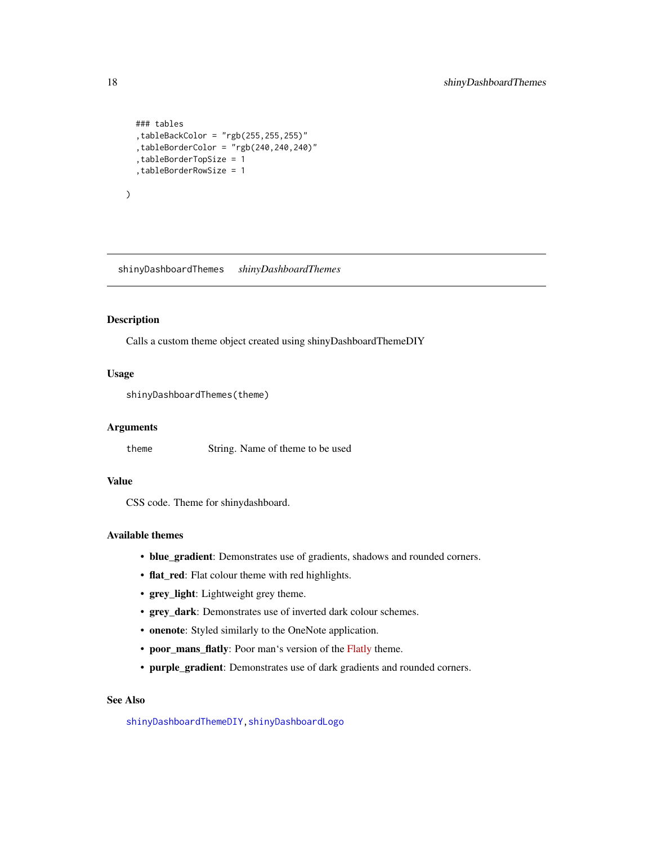```
### tables
  ,tableBackColor = "rgb(255,255,255)"
  ,tableBorderColor = "rgb(240,240,240)"
  ,tableBorderTopSize = 1
  ,tableBorderRowSize = 1
)
```
<span id="page-17-1"></span>shinyDashboardThemes *shinyDashboardThemes*

#### Description

Calls a custom theme object created using shinyDashboardThemeDIY

#### Usage

shinyDashboardThemes(theme)

#### Arguments

theme String. Name of theme to be used

#### Value

CSS code. Theme for shinydashboard.

#### Available themes

- blue\_gradient: Demonstrates use of gradients, shadows and rounded corners.
- flat\_red: Flat colour theme with red highlights.
- grey\_light: Lightweight grey theme.
- grey\_dark: Demonstrates use of inverted dark colour schemes.
- onenote: Styled similarly to the OneNote application.
- poor\_mans\_flatly: Poor man's version of the [Flatly](https://bootswatch.com/flatly/) theme.
- purple\_gradient: Demonstrates use of dark gradients and rounded corners.

#### See Also

[shinyDashboardThemeDIY,](#page-9-1) [shinyDashboardLogo](#page-7-1)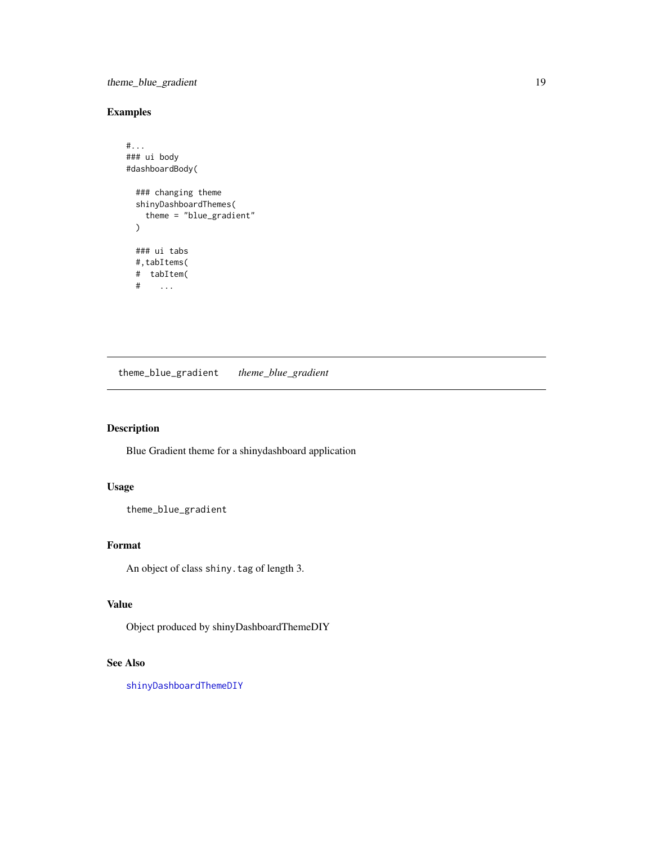<span id="page-18-0"></span>theme\_blue\_gradient 19

#### Examples

```
#...
### ui body
#dashboardBody(
 ### changing theme
 shinyDashboardThemes(
   theme = "blue_gradient"
 \mathcal{L}### ui tabs
 #,tabItems(
 # tabItem(
 \# ...
```
theme\_blue\_gradient *theme\_blue\_gradient*

#### Description

Blue Gradient theme for a shinydashboard application

#### Usage

theme\_blue\_gradient

#### Format

An object of class shiny.tag of length 3.

#### Value

Object produced by shinyDashboardThemeDIY

#### See Also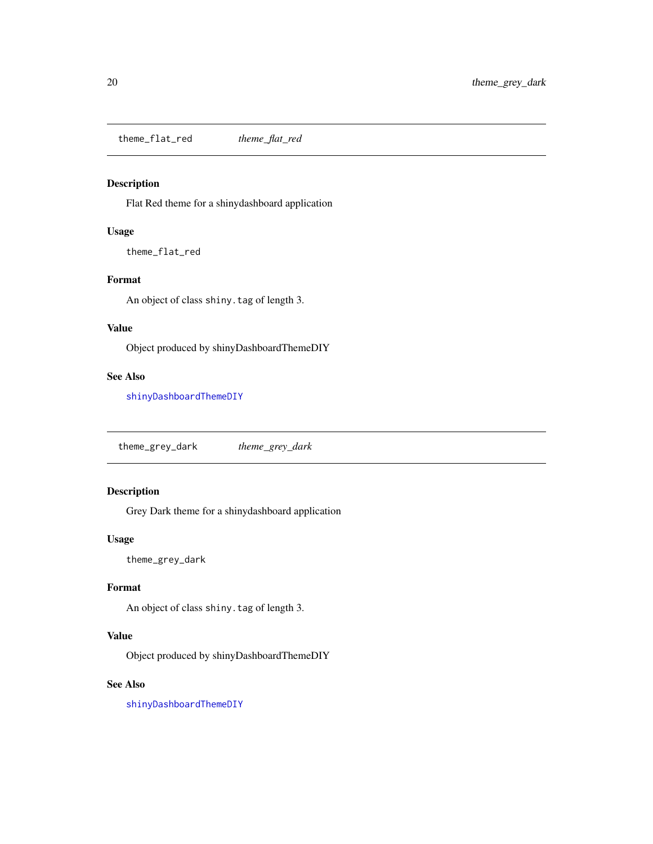<span id="page-19-0"></span>theme\_flat\_red *theme\_flat\_red*

#### Description

Flat Red theme for a shinydashboard application

#### Usage

theme\_flat\_red

#### Format

An object of class shiny.tag of length 3.

#### Value

Object produced by shinyDashboardThemeDIY

#### See Also

[shinyDashboardThemeDIY](#page-9-1)

theme\_grey\_dark *theme\_grey\_dark*

#### Description

Grey Dark theme for a shinydashboard application

#### Usage

theme\_grey\_dark

#### Format

An object of class shiny.tag of length 3.

#### Value

Object produced by shinyDashboardThemeDIY

#### See Also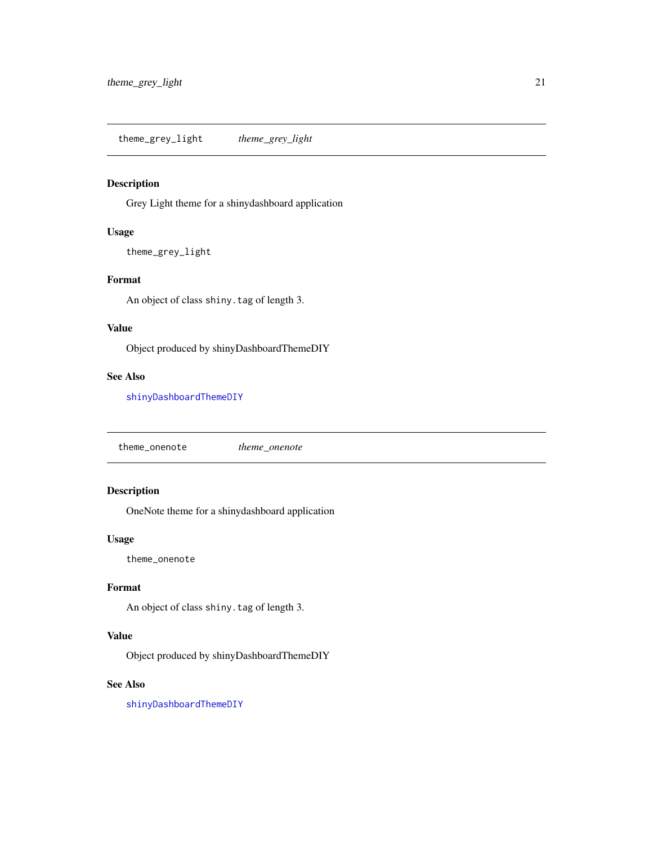#### <span id="page-20-0"></span>Description

Grey Light theme for a shinydashboard application

#### Usage

theme\_grey\_light

#### Format

An object of class shiny.tag of length 3.

#### Value

Object produced by shinyDashboardThemeDIY

#### See Also

[shinyDashboardThemeDIY](#page-9-1)

theme\_onenote *theme\_onenote*

#### Description

OneNote theme for a shinydashboard application

#### Usage

theme\_onenote

#### Format

An object of class shiny.tag of length 3.

#### Value

Object produced by shinyDashboardThemeDIY

#### See Also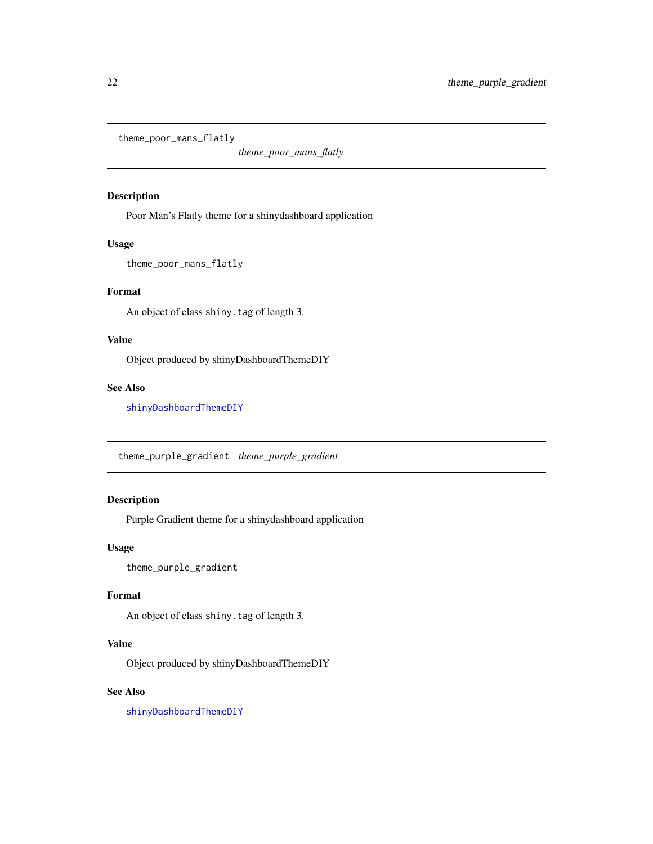<span id="page-21-0"></span>theme\_poor\_mans\_flatly

*theme\_poor\_mans\_flatly*

#### Description

Poor Man's Flatly theme for a shinydashboard application

#### Usage

theme\_poor\_mans\_flatly

#### Format

An object of class shiny.tag of length 3.

#### Value

Object produced by shinyDashboardThemeDIY

#### See Also

[shinyDashboardThemeDIY](#page-9-1)

theme\_purple\_gradient *theme\_purple\_gradient*

#### Description

Purple Gradient theme for a shinydashboard application

#### Usage

theme\_purple\_gradient

#### Format

An object of class shiny.tag of length 3.

#### Value

Object produced by shinyDashboardThemeDIY

#### See Also